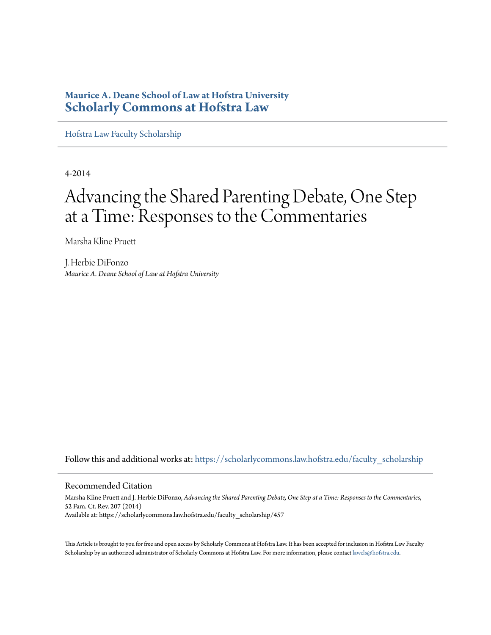# **Maurice A. Deane School of Law at Hofstra University [Scholarly Commons at Hofstra Law](https://scholarlycommons.law.hofstra.edu?utm_source=scholarlycommons.law.hofstra.edu%2Ffaculty_scholarship%2F457&utm_medium=PDF&utm_campaign=PDFCoverPages)**

[Hofstra Law Faculty Scholarship](https://scholarlycommons.law.hofstra.edu/faculty_scholarship?utm_source=scholarlycommons.law.hofstra.edu%2Ffaculty_scholarship%2F457&utm_medium=PDF&utm_campaign=PDFCoverPages)

4-2014

# Advancing the Shared Parenting Debate, One Step at a Time: Responses to the Commentaries

Marsha Kline Pruett

J. Herbie DiFonzo *Maurice A. Deane School of Law at Hofstra University*

Follow this and additional works at: [https://scholarlycommons.law.hofstra.edu/faculty\\_scholarship](https://scholarlycommons.law.hofstra.edu/faculty_scholarship?utm_source=scholarlycommons.law.hofstra.edu%2Ffaculty_scholarship%2F457&utm_medium=PDF&utm_campaign=PDFCoverPages)

# Recommended Citation

Marsha Kline Pruett and J. Herbie DiFonzo, *Advancing the Shared Parenting Debate, One Step at a Time: Responses to the Commentaries*, 52 Fam. Ct. Rev. 207 (2014) Available at: https://scholarlycommons.law.hofstra.edu/faculty\_scholarship/457

This Article is brought to you for free and open access by Scholarly Commons at Hofstra Law. It has been accepted for inclusion in Hofstra Law Faculty Scholarship by an authorized administrator of Scholarly Commons at Hofstra Law. For more information, please contact [lawcls@hofstra.edu](mailto:lawcls@hofstra.edu).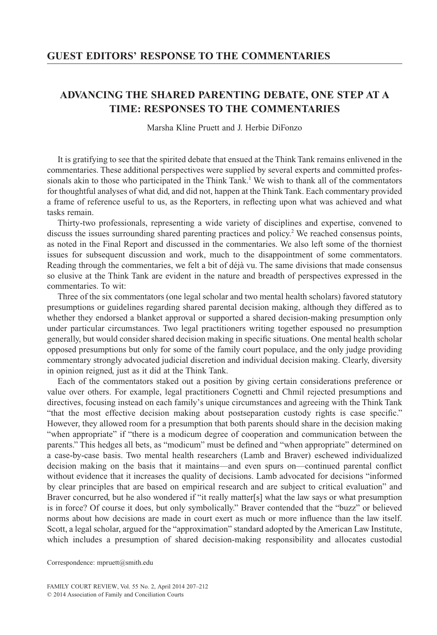# **ADVANCING THE SHARED PARENTING DEBATE, ONE STEP AT A TIME: RESPONSES TO THE COMMENTARIES**

Marsha Kline Pruett and J. Herbie DiFonzo

It is gratifying to see that the spirited debate that ensued at the Think Tank remains enlivened in the commentaries. These additional perspectives were supplied by several experts and committed professionals akin to those who participated in the Think Tank.<sup>1</sup> We wish to thank all of the commentators for thoughtful analyses of what did, and did not, happen at the Think Tank. Each commentary provided a frame of reference useful to us, as the Reporters, in reflecting upon what was achieved and what tasks remain.

Thirty-two professionals, representing a wide variety of disciplines and expertise, convened to discuss the issues surrounding shared parenting practices and policy.<sup>2</sup> We reached consensus points, as noted in the Final Report and discussed in the commentaries. We also left some of the thorniest issues for subsequent discussion and work, much to the disappointment of some commentators. Reading through the commentaries, we felt a bit of déjà vu. The same divisions that made consensus so elusive at the Think Tank are evident in the nature and breadth of perspectives expressed in the commentaries. To wit:

Three of the six commentators (one legal scholar and two mental health scholars) favored statutory presumptions or guidelines regarding shared parental decision making, although they differed as to whether they endorsed a blanket approval or supported a shared decision-making presumption only under particular circumstances. Two legal practitioners writing together espoused no presumption generally, but would consider shared decision making in specific situations. One mental health scholar opposed presumptions but only for some of the family court populace, and the only judge providing commentary strongly advocated judicial discretion and individual decision making. Clearly, diversity in opinion reigned, just as it did at the Think Tank.

Each of the commentators staked out a position by giving certain considerations preference or value over others. For example, legal practitioners Cognetti and Chmil rejected presumptions and directives, focusing instead on each family's unique circumstances and agreeing with the Think Tank "that the most effective decision making about postseparation custody rights is case specific." However, they allowed room for a presumption that both parents should share in the decision making "when appropriate" if "there is a modicum degree of cooperation and communication between the parents." This hedges all bets, as "modicum" must be defined and "when appropriate" determined on a case-by-case basis. Two mental health researchers (Lamb and Braver) eschewed individualized decision making on the basis that it maintains—and even spurs on—continued parental conflict without evidence that it increases the quality of decisions. Lamb advocated for decisions "informed by clear principles that are based on empirical research and are subject to critical evaluation" and Braver concurred, but he also wondered if "it really matter[s] what the law says or what presumption is in force? Of course it does, but only symbolically." Braver contended that the "buzz" or believed norms about how decisions are made in court exert as much or more influence than the law itself. Scott, a legal scholar, argued for the "approximation" standard adopted by the American Law Institute, which includes a presumption of shared decision-making responsibility and allocates custodial

Correspondence: mpruett@smith.edu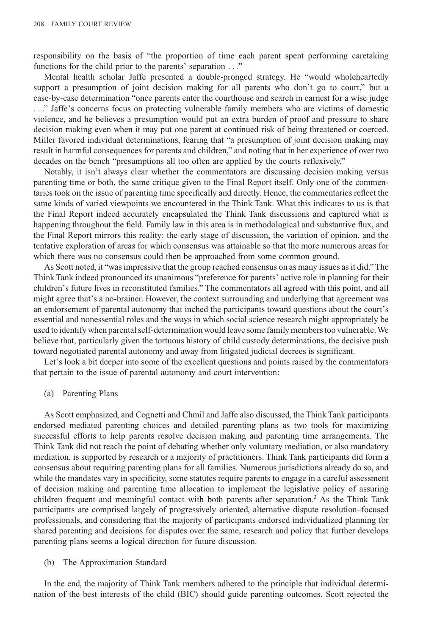responsibility on the basis of "the proportion of time each parent spent performing caretaking functions for the child prior to the parents' separation . . ."

Mental health scholar Jaffe presented a double-pronged strategy. He "would wholeheartedly support a presumption of joint decision making for all parents who don't go to court," but a case-by-case determination "once parents enter the courthouse and search in earnest for a wise judge . . ." Jaffe's concerns focus on protecting vulnerable family members who are victims of domestic violence, and he believes a presumption would put an extra burden of proof and pressure to share decision making even when it may put one parent at continued risk of being threatened or coerced. Miller favored individual determinations, fearing that "a presumption of joint decision making may result in harmful consequences for parents and children," and noting that in her experience of over two decades on the bench "presumptions all too often are applied by the courts reflexively."

Notably, it isn't always clear whether the commentators are discussing decision making versus parenting time or both, the same critique given to the Final Report itself. Only one of the commentaries took on the issue of parenting time specifically and directly. Hence, the commentaries reflect the same kinds of varied viewpoints we encountered in the Think Tank. What this indicates to us is that the Final Report indeed accurately encapsulated the Think Tank discussions and captured what is happening throughout the field. Family law in this area is in methodological and substantive flux, and the Final Report mirrors this reality: the early stage of discussion, the variation of opinion, and the tentative exploration of areas for which consensus was attainable so that the more numerous areas for which there was no consensus could then be approached from some common ground.

As Scott noted, it "was impressive that the group reached consensus on as many issues as it did." The Think Tank indeed pronounced its unanimous "preference for parents' active role in planning for their children's future lives in reconstituted families." The commentators all agreed with this point, and all might agree that's a no-brainer. However, the context surrounding and underlying that agreement was an endorsement of parental autonomy that inched the participants toward questions about the court's essential and nonessential roles and the ways in which social science research might appropriately be used to identify when parental self-determination would leave some family members too vulnerable.We believe that, particularly given the tortuous history of child custody determinations, the decisive push toward negotiated parental autonomy and away from litigated judicial decrees is significant.

Let's look a bit deeper into some of the excellent questions and points raised by the commentators that pertain to the issue of parental autonomy and court intervention:

#### (a) Parenting Plans

As Scott emphasized, and Cognetti and Chmil and Jaffe also discussed, the Think Tank participants endorsed mediated parenting choices and detailed parenting plans as two tools for maximizing successful efforts to help parents resolve decision making and parenting time arrangements. The Think Tank did not reach the point of debating whether only voluntary mediation, or also mandatory mediation, is supported by research or a majority of practitioners. Think Tank participants did form a consensus about requiring parenting plans for all families. Numerous jurisdictions already do so, and while the mandates vary in specificity, some statutes require parents to engage in a careful assessment of decision making and parenting time allocation to implement the legislative policy of assuring children frequent and meaningful contact with both parents after separation.<sup>3</sup> As the Think Tank participants are comprised largely of progressively oriented, alternative dispute resolution–focused professionals, and considering that the majority of participants endorsed individualized planning for shared parenting and decisions for disputes over the same, research and policy that further develops parenting plans seems a logical direction for future discussion.

#### (b) The Approximation Standard

In the end, the majority of Think Tank members adhered to the principle that individual determination of the best interests of the child (BIC) should guide parenting outcomes. Scott rejected the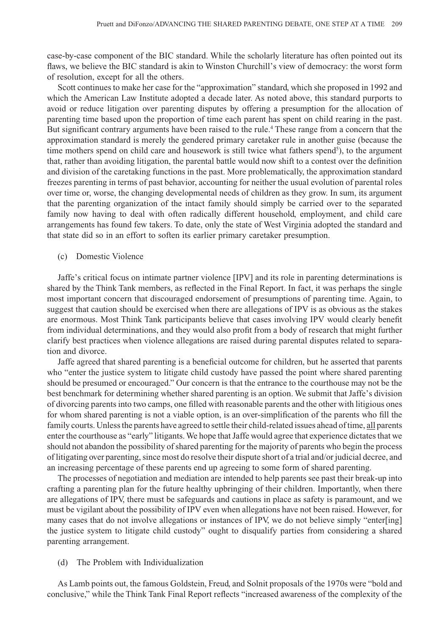case-by-case component of the BIC standard. While the scholarly literature has often pointed out its flaws, we believe the BIC standard is akin to Winston Churchill's view of democracy: the worst form of resolution, except for all the others.

Scott continues to make her case for the "approximation" standard, which she proposed in 1992 and which the American Law Institute adopted a decade later. As noted above, this standard purports to avoid or reduce litigation over parenting disputes by offering a presumption for the allocation of parenting time based upon the proportion of time each parent has spent on child rearing in the past. But significant contrary arguments have been raised to the rule.<sup>4</sup> These range from a concern that the approximation standard is merely the gendered primary caretaker rule in another guise (because the time mothers spend on child care and housework is still twice what fathers spend<sup>5</sup>), to the argument that, rather than avoiding litigation, the parental battle would now shift to a contest over the definition and division of the caretaking functions in the past. More problematically, the approximation standard freezes parenting in terms of past behavior, accounting for neither the usual evolution of parental roles over time or, worse, the changing developmental needs of children as they grow. In sum, its argument that the parenting organization of the intact family should simply be carried over to the separated family now having to deal with often radically different household, employment, and child care arrangements has found few takers. To date, only the state of West Virginia adopted the standard and that state did so in an effort to soften its earlier primary caretaker presumption.

## (c) Domestic Violence

Jaffe's critical focus on intimate partner violence [IPV] and its role in parenting determinations is shared by the Think Tank members, as reflected in the Final Report. In fact, it was perhaps the single most important concern that discouraged endorsement of presumptions of parenting time. Again, to suggest that caution should be exercised when there are allegations of IPV is as obvious as the stakes are enormous. Most Think Tank participants believe that cases involving IPV would clearly benefit from individual determinations, and they would also profit from a body of research that might further clarify best practices when violence allegations are raised during parental disputes related to separation and divorce.

Jaffe agreed that shared parenting is a beneficial outcome for children, but he asserted that parents who "enter the justice system to litigate child custody have passed the point where shared parenting should be presumed or encouraged." Our concern is that the entrance to the courthouse may not be the best benchmark for determining whether shared parenting is an option. We submit that Jaffe's division of divorcing parents into two camps, one filled with reasonable parents and the other with litigious ones for whom shared parenting is not a viable option, is an over-simplification of the parents who fill the family courts. Unless the parents have agreed to settle their child-related issues ahead of time, all parents enter the courthouse as "early" litigants.We hope that Jaffe would agree that experience dictates that we should not abandon the possibility of shared parenting for the majority of parents who begin the process of litigating over parenting, since most do resolve their dispute short of a trial and/or judicial decree, and an increasing percentage of these parents end up agreeing to some form of shared parenting.

The processes of negotiation and mediation are intended to help parents see past their break-up into crafting a parenting plan for the future healthy upbringing of their children. Importantly, when there are allegations of IPV, there must be safeguards and cautions in place as safety is paramount, and we must be vigilant about the possibility of IPV even when allegations have not been raised. However, for many cases that do not involve allegations or instances of IPV, we do not believe simply "enter[ing] the justice system to litigate child custody" ought to disqualify parties from considering a shared parenting arrangement.

## (d) The Problem with Individualization

As Lamb points out, the famous Goldstein, Freud, and Solnit proposals of the 1970s were "bold and conclusive," while the Think Tank Final Report reflects "increased awareness of the complexity of the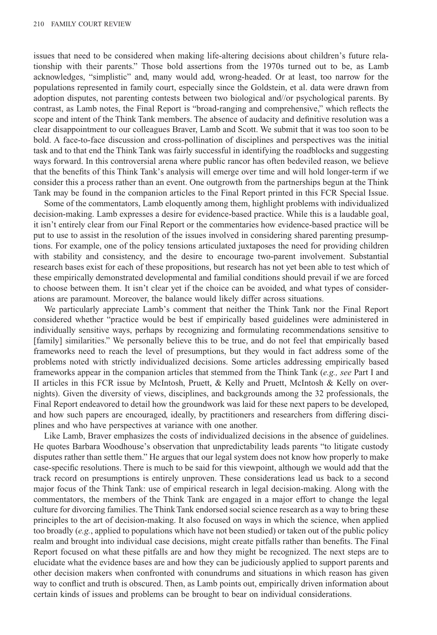issues that need to be considered when making life-altering decisions about children's future relationship with their parents." Those bold assertions from the 1970s turned out to be, as Lamb acknowledges, "simplistic" and, many would add, wrong-headed. Or at least, too narrow for the populations represented in family court, especially since the Goldstein, et al. data were drawn from adoption disputes, not parenting contests between two biological and//or psychological parents. By contrast, as Lamb notes, the Final Report is "broad-ranging and comprehensive," which reflects the scope and intent of the Think Tank members. The absence of audacity and definitive resolution was a clear disappointment to our colleagues Braver, Lamb and Scott. We submit that it was too soon to be bold. A face-to-face discussion and cross-pollination of disciplines and perspectives was the initial task and to that end the Think Tank was fairly successful in identifying the roadblocks and suggesting ways forward. In this controversial arena where public rancor has often bedeviled reason, we believe that the benefits of this Think Tank's analysis will emerge over time and will hold longer-term if we consider this a process rather than an event. One outgrowth from the partnerships begun at the Think Tank may be found in the companion articles to the Final Report printed in this FCR Special Issue.

Some of the commentators, Lamb eloquently among them, highlight problems with individualized decision-making. Lamb expresses a desire for evidence-based practice. While this is a laudable goal, it isn't entirely clear from our Final Report or the commentaries how evidence-based practice will be put to use to assist in the resolution of the issues involved in considering shared parenting presumptions. For example, one of the policy tensions articulated juxtaposes the need for providing children with stability and consistency, and the desire to encourage two-parent involvement. Substantial research bases exist for each of these propositions, but research has not yet been able to test which of these empirically demonstrated developmental and familial conditions should prevail if we are forced to choose between them. It isn't clear yet if the choice can be avoided, and what types of considerations are paramount. Moreover, the balance would likely differ across situations.

We particularly appreciate Lamb's comment that neither the Think Tank nor the Final Report considered whether "practice would be best if empirically based guidelines were administered in individually sensitive ways, perhaps by recognizing and formulating recommendations sensitive to [family] similarities." We personally believe this to be true, and do not feel that empirically based frameworks need to reach the level of presumptions, but they would in fact address some of the problems noted with strictly individualized decisions. Some articles addressing empirically based frameworks appear in the companion articles that stemmed from the Think Tank (*e.g., see* Part I and II articles in this FCR issue by McIntosh, Pruett, & Kelly and Pruett, McIntosh & Kelly on overnights). Given the diversity of views, disciplines, and backgrounds among the 32 professionals, the Final Report endeavored to detail how the groundwork was laid for these next papers to be developed, and how such papers are encouraged, ideally, by practitioners and researchers from differing disciplines and who have perspectives at variance with one another.

Like Lamb, Braver emphasizes the costs of individualized decisions in the absence of guidelines. He quotes Barbara Woodhouse's observation that unpredictability leads parents "to litigate custody disputes rather than settle them." He argues that our legal system does not know how properly to make case-specific resolutions. There is much to be said for this viewpoint, although we would add that the track record on presumptions is entirely unproven. These considerations lead us back to a second major focus of the Think Tank: use of empirical research in legal decision-making. Along with the commentators, the members of the Think Tank are engaged in a major effort to change the legal culture for divorcing families. The Think Tank endorsed social science research as a way to bring these principles to the art of decision-making. It also focused on ways in which the science, when applied too broadly (*e.g.*, applied to populations which have not been studied) or taken out of the public policy realm and brought into individual case decisions, might create pitfalls rather than benefits. The Final Report focused on what these pitfalls are and how they might be recognized. The next steps are to elucidate what the evidence bases are and how they can be judiciously applied to support parents and other decision makers when confronted with conundrums and situations in which reason has given way to conflict and truth is obscured. Then, as Lamb points out, empirically driven information about certain kinds of issues and problems can be brought to bear on individual considerations.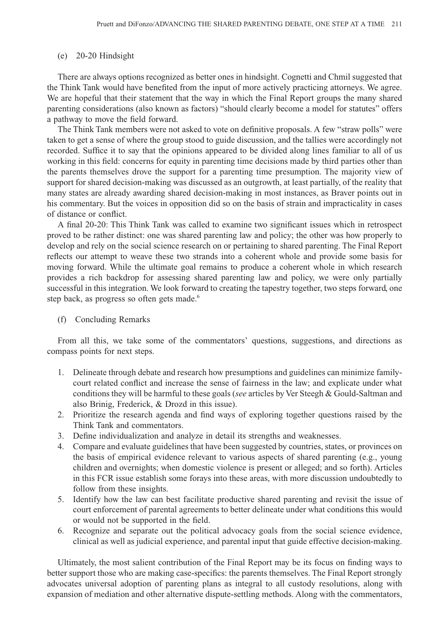### (e) 20-20 Hindsight

There are always options recognized as better ones in hindsight. Cognetti and Chmil suggested that the Think Tank would have benefited from the input of more actively practicing attorneys. We agree. We are hopeful that their statement that the way in which the Final Report groups the many shared parenting considerations (also known as factors) "should clearly become a model for statutes" offers a pathway to move the field forward.

The Think Tank members were not asked to vote on definitive proposals. A few "straw polls" were taken to get a sense of where the group stood to guide discussion, and the tallies were accordingly not recorded. Suffice it to say that the opinions appeared to be divided along lines familiar to all of us working in this field: concerns for equity in parenting time decisions made by third parties other than the parents themselves drove the support for a parenting time presumption. The majority view of support for shared decision-making was discussed as an outgrowth, at least partially, of the reality that many states are already awarding shared decision-making in most instances, as Braver points out in his commentary. But the voices in opposition did so on the basis of strain and impracticality in cases of distance or conflict.

A final 20-20: This Think Tank was called to examine two significant issues which in retrospect proved to be rather distinct: one was shared parenting law and policy; the other was how properly to develop and rely on the social science research on or pertaining to shared parenting. The Final Report reflects our attempt to weave these two strands into a coherent whole and provide some basis for moving forward. While the ultimate goal remains to produce a coherent whole in which research provides a rich backdrop for assessing shared parenting law and policy, we were only partially successful in this integration. We look forward to creating the tapestry together, two steps forward, one step back, as progress so often gets made.<sup>6</sup>

(f) Concluding Remarks

From all this, we take some of the commentators' questions, suggestions, and directions as compass points for next steps.

- 1. Delineate through debate and research how presumptions and guidelines can minimize familycourt related conflict and increase the sense of fairness in the law; and explicate under what conditions they will be harmful to these goals (*see* articles by Ver Steegh & Gould-Saltman and also Brinig, Frederick, & Drozd in this issue).
- 2. Prioritize the research agenda and find ways of exploring together questions raised by the Think Tank and commentators.
- 3. Define individualization and analyze in detail its strengths and weaknesses.
- 4. Compare and evaluate guidelines that have been suggested by countries, states, or provinces on the basis of empirical evidence relevant to various aspects of shared parenting (e.g., young children and overnights; when domestic violence is present or alleged; and so forth). Articles in this FCR issue establish some forays into these areas, with more discussion undoubtedly to follow from these insights.
- 5. Identify how the law can best facilitate productive shared parenting and revisit the issue of court enforcement of parental agreements to better delineate under what conditions this would or would not be supported in the field.
- 6. Recognize and separate out the political advocacy goals from the social science evidence, clinical as well as judicial experience, and parental input that guide effective decision-making.

Ultimately, the most salient contribution of the Final Report may be its focus on finding ways to better support those who are making case-specifics: the parents themselves. The Final Report strongly advocates universal adoption of parenting plans as integral to all custody resolutions, along with expansion of mediation and other alternative dispute-settling methods. Along with the commentators,